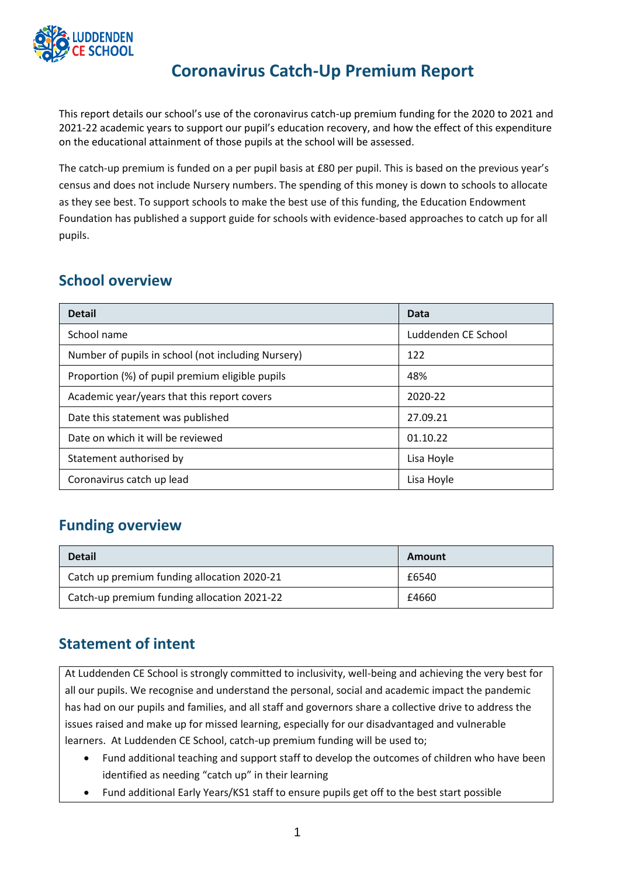

# **Coronavirus Catch-Up Premium Report**

This report details our school's use of the coronavirus catch-up premium funding for the 2020 to 2021 and 2021-22 academic years to support our pupil's education recovery, and how the effect of this expenditure on the educational attainment of those pupils at the school will be assessed.

The catch-up premium is funded on a per pupil basis at £80 per pupil. This is based on the previous year's census and does not include Nursery numbers. The spending of this money is down to schools to allocate as they see best. To support schools to make the best use of this funding, the Education Endowment Foundation has published a support guide for schools with evidence-based approaches to catch up for all pupils.

### **School overview**

| <b>Detail</b>                                      | Data                |
|----------------------------------------------------|---------------------|
| School name                                        | Luddenden CE School |
| Number of pupils in school (not including Nursery) | 122                 |
| Proportion (%) of pupil premium eligible pupils    | 48%                 |
| Academic year/years that this report covers        | 2020-22             |
| Date this statement was published                  | 27.09.21            |
| Date on which it will be reviewed                  | 01.10.22            |
| Statement authorised by                            | Lisa Hoyle          |
| Coronavirus catch up lead                          | Lisa Hoyle          |

### **Funding overview**

| <b>Detail</b>                               | Amount |
|---------------------------------------------|--------|
| Catch up premium funding allocation 2020-21 | £6540  |
| Catch-up premium funding allocation 2021-22 | £4660  |

## **Statement of intent**

At Luddenden CE School is strongly committed to inclusivity, well-being and achieving the very best for all our pupils. We recognise and understand the personal, social and academic impact the pandemic has had on our pupils and families, and all staff and governors share a collective drive to address the issues raised and make up for missed learning, especially for our disadvantaged and vulnerable learners. At Luddenden CE School, catch-up premium funding will be used to;

- Fund additional teaching and support staff to develop the outcomes of children who have been identified as needing "catch up" in their learning
- Fund additional Early Years/KS1 staff to ensure pupils get off to the best start possible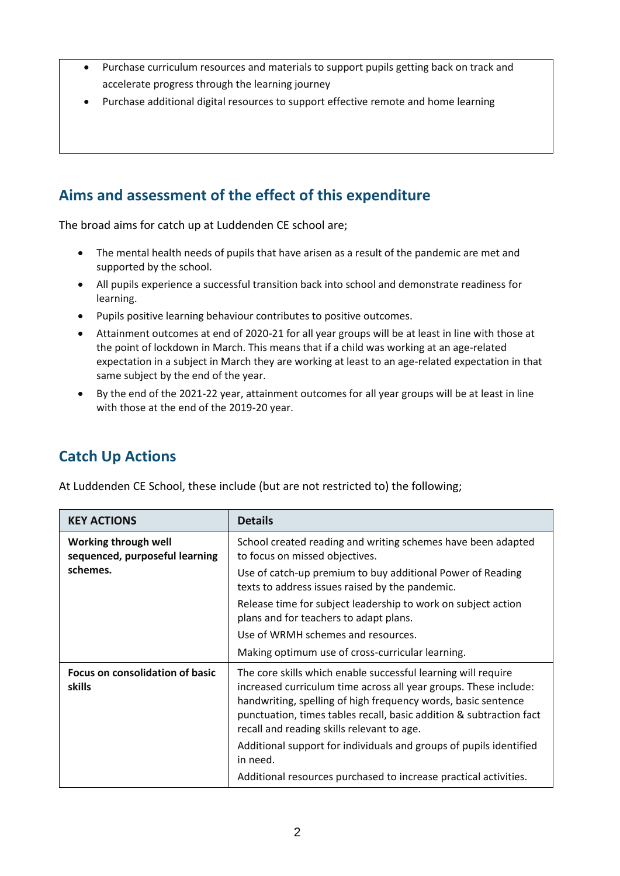- Purchase curriculum resources and materials to support pupils getting back on track and accelerate progress through the learning journey
- Purchase additional digital resources to support effective remote and home learning

## **Aims and assessment of the effect of this expenditure**

The broad aims for catch up at Luddenden CE school are;

- The mental health needs of pupils that have arisen as a result of the pandemic are met and supported by the school.
- All pupils experience a successful transition back into school and demonstrate readiness for learning.
- Pupils positive learning behaviour contributes to positive outcomes.
- Attainment outcomes at end of 2020-21 for all year groups will be at least in line with those at the point of lockdown in March. This means that if a child was working at an age-related expectation in a subject in March they are working at least to an age-related expectation in that same subject by the end of the year.
- By the end of the 2021-22 year, attainment outcomes for all year groups will be at least in line with those at the end of the 2019-20 year.

## **Catch Up Actions**

At Luddenden CE School, these include (but are not restricted to) the following;

| <b>KEY ACTIONS</b>                                                 | <b>Details</b>                                                                                                                                                                                                                                                                                                          |
|--------------------------------------------------------------------|-------------------------------------------------------------------------------------------------------------------------------------------------------------------------------------------------------------------------------------------------------------------------------------------------------------------------|
| Working through well<br>sequenced, purposeful learning<br>schemes. | School created reading and writing schemes have been adapted<br>to focus on missed objectives.                                                                                                                                                                                                                          |
|                                                                    | Use of catch-up premium to buy additional Power of Reading<br>texts to address issues raised by the pandemic.                                                                                                                                                                                                           |
|                                                                    | Release time for subject leadership to work on subject action<br>plans and for teachers to adapt plans.                                                                                                                                                                                                                 |
|                                                                    | Use of WRMH schemes and resources.                                                                                                                                                                                                                                                                                      |
|                                                                    | Making optimum use of cross-curricular learning.                                                                                                                                                                                                                                                                        |
| <b>Focus on consolidation of basic</b><br>skills                   | The core skills which enable successful learning will require<br>increased curriculum time across all year groups. These include:<br>handwriting, spelling of high frequency words, basic sentence<br>punctuation, times tables recall, basic addition & subtraction fact<br>recall and reading skills relevant to age. |
|                                                                    | Additional support for individuals and groups of pupils identified<br>in need.                                                                                                                                                                                                                                          |
|                                                                    | Additional resources purchased to increase practical activities.                                                                                                                                                                                                                                                        |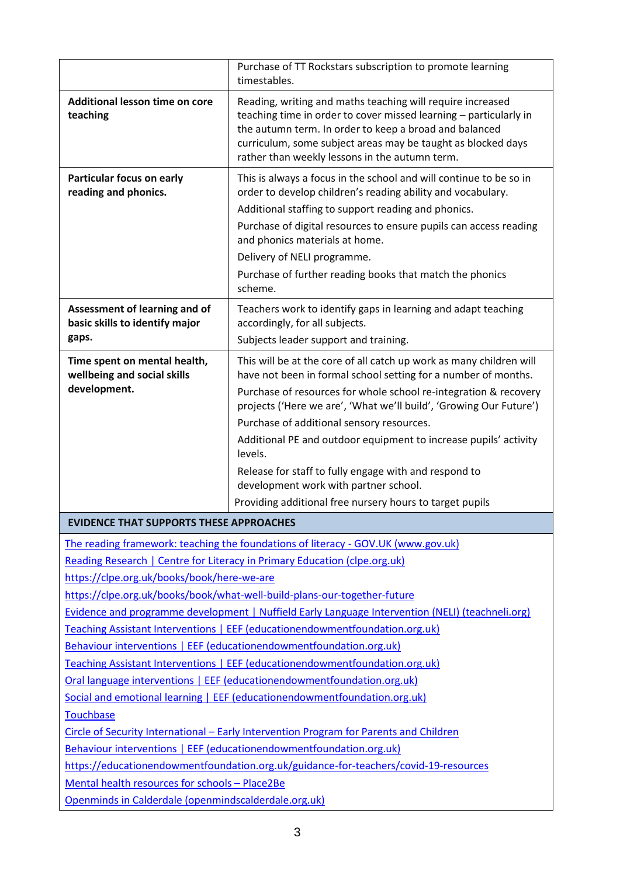|                                                                                                                                                             | Purchase of TT Rockstars subscription to promote learning<br>timestables.                                                                                                                                                                                                                                   |  |  |
|-------------------------------------------------------------------------------------------------------------------------------------------------------------|-------------------------------------------------------------------------------------------------------------------------------------------------------------------------------------------------------------------------------------------------------------------------------------------------------------|--|--|
| Additional lesson time on core<br>teaching                                                                                                                  | Reading, writing and maths teaching will require increased<br>teaching time in order to cover missed learning - particularly in<br>the autumn term. In order to keep a broad and balanced<br>curriculum, some subject areas may be taught as blocked days<br>rather than weekly lessons in the autumn term. |  |  |
| Particular focus on early<br>reading and phonics.                                                                                                           | This is always a focus in the school and will continue to be so in<br>order to develop children's reading ability and vocabulary.                                                                                                                                                                           |  |  |
|                                                                                                                                                             | Additional staffing to support reading and phonics.                                                                                                                                                                                                                                                         |  |  |
|                                                                                                                                                             | Purchase of digital resources to ensure pupils can access reading<br>and phonics materials at home.                                                                                                                                                                                                         |  |  |
|                                                                                                                                                             | Delivery of NELI programme.                                                                                                                                                                                                                                                                                 |  |  |
|                                                                                                                                                             | Purchase of further reading books that match the phonics<br>scheme.                                                                                                                                                                                                                                         |  |  |
| Assessment of learning and of<br>basic skills to identify major                                                                                             | Teachers work to identify gaps in learning and adapt teaching<br>accordingly, for all subjects.                                                                                                                                                                                                             |  |  |
| gaps.                                                                                                                                                       | Subjects leader support and training.                                                                                                                                                                                                                                                                       |  |  |
| Time spent on mental health,<br>wellbeing and social skills                                                                                                 | This will be at the core of all catch up work as many children will<br>have not been in formal school setting for a number of months.                                                                                                                                                                       |  |  |
| development.                                                                                                                                                | Purchase of resources for whole school re-integration & recovery<br>projects ('Here we are', 'What we'll build', 'Growing Our Future')                                                                                                                                                                      |  |  |
|                                                                                                                                                             | Purchase of additional sensory resources.                                                                                                                                                                                                                                                                   |  |  |
|                                                                                                                                                             | Additional PE and outdoor equipment to increase pupils' activity                                                                                                                                                                                                                                            |  |  |
|                                                                                                                                                             | levels.<br>Release for staff to fully engage with and respond to<br>development work with partner school.                                                                                                                                                                                                   |  |  |
|                                                                                                                                                             | Providing additional free nursery hours to target pupils                                                                                                                                                                                                                                                    |  |  |
| EVIDENCE THAT SUPPORTS THESE APPROACHES                                                                                                                     |                                                                                                                                                                                                                                                                                                             |  |  |
| The reading framework: teaching the foundations of literacy - GOV.UK (www.gov.uk)                                                                           |                                                                                                                                                                                                                                                                                                             |  |  |
|                                                                                                                                                             | Reading Research   Centre for Literacy in Primary Education (clpe.org.uk)                                                                                                                                                                                                                                   |  |  |
| https://clpe.org.uk/books/book/here-we-are                                                                                                                  |                                                                                                                                                                                                                                                                                                             |  |  |
|                                                                                                                                                             | https://clpe.org.uk/books/book/what-well-build-plans-our-together-future                                                                                                                                                                                                                                    |  |  |
|                                                                                                                                                             | Evidence and programme development   Nuffield Early Language Intervention (NELI) (teachneli.org)                                                                                                                                                                                                            |  |  |
|                                                                                                                                                             | Teaching Assistant Interventions   EEF (educationendowmentfoundation.org.uk)                                                                                                                                                                                                                                |  |  |
|                                                                                                                                                             | Behaviour interventions   EEF (educationendowmentfoundation.org.uk)                                                                                                                                                                                                                                         |  |  |
|                                                                                                                                                             | Teaching Assistant Interventions   EEF (educationendowmentfoundation.org.uk)                                                                                                                                                                                                                                |  |  |
|                                                                                                                                                             | Oral language interventions   EEF (educationendowmentfoundation.org.uk)                                                                                                                                                                                                                                     |  |  |
| Social and emotional learning   EEF (educationendowmentfoundation.org.uk)                                                                                   |                                                                                                                                                                                                                                                                                                             |  |  |
| <b>Touchbase</b>                                                                                                                                            |                                                                                                                                                                                                                                                                                                             |  |  |
| Circle of Security International - Early Intervention Program for Parents and Children                                                                      |                                                                                                                                                                                                                                                                                                             |  |  |
| Behaviour interventions   EEF (educationendowmentfoundation.org.uk)<br>https://educationendowmentfoundation.org.uk/guidance-for-teachers/covid-19-resources |                                                                                                                                                                                                                                                                                                             |  |  |
| Mental health resources for schools - Place2Be                                                                                                              |                                                                                                                                                                                                                                                                                                             |  |  |
| Openminds in Calderdale (openmindscalderdale.org.uk)                                                                                                        |                                                                                                                                                                                                                                                                                                             |  |  |
|                                                                                                                                                             |                                                                                                                                                                                                                                                                                                             |  |  |